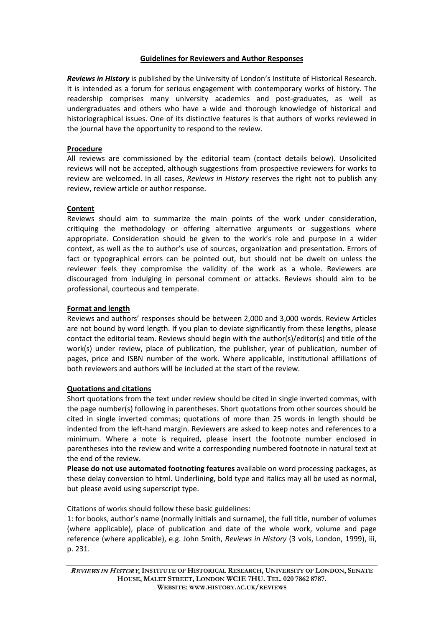# **Guidelines for Reviewers and Author Responses**

*Reviews in History* is published by the University of London's Institute of Historical Research. It is intended as a forum for serious engagement with contemporary works of history. The readership comprises many university academics and post-graduates, as well as undergraduates and others who have a wide and thorough knowledge of historical and historiographical issues. One of its distinctive features is that authors of works reviewed in the journal have the opportunity to respond to the review.

## **Procedure**

All reviews are commissioned by the editorial team (contact details below). Unsolicited reviews will not be accepted, although suggestions from prospective reviewers for works to review are welcomed. In all cases, *Reviews in History* reserves the right not to publish any review, review article or author response.

# **Content**

Reviews should aim to summarize the main points of the work under consideration, critiquing the methodology or offering alternative arguments or suggestions where appropriate. Consideration should be given to the work's role and purpose in a wider context, as well as the to author's use of sources, organization and presentation. Errors of fact or typographical errors can be pointed out, but should not be dwelt on unless the reviewer feels they compromise the validity of the work as a whole. Reviewers are discouraged from indulging in personal comment or attacks. Reviews should aim to be professional, courteous and temperate.

# **Format and length**

Reviews and authors' responses should be between 2,000 and 3,000 words. Review Articles are not bound by word length. If you plan to deviate significantly from these lengths, please contact the editorial team. Reviews should begin with the author(s)/editor(s) and title of the work(s) under review, place of publication, the publisher, year of publication, number of pages, price and ISBN number of the work. Where applicable, institutional affiliations of both reviewers and authors will be included at the start of the review.

## **Quotations and citations**

Short quotations from the text under review should be cited in single inverted commas, with the page number(s) following in parentheses. Short quotations from other sources should be cited in single inverted commas; quotations of more than 25 words in length should be indented from the left-hand margin. Reviewers are asked to keep notes and references to a minimum. Where a note is required, please insert the footnote number enclosed in parentheses into the review and write a corresponding numbered footnote in natural text at the end of the review.

**Please do not use automated footnoting features** available on word processing packages, as these delay conversion to html. Underlining, bold type and italics may all be used as normal, but please avoid using superscript type.

Citations of works should follow these basic guidelines:

1: for books, author's name (normally initials and surname), the full title, number of volumes (where applicable), place of publication and date of the whole work, volume and page reference (where applicable), e.g. John Smith, *Reviews in History* (3 vols, London, 1999), iii, p. 231.